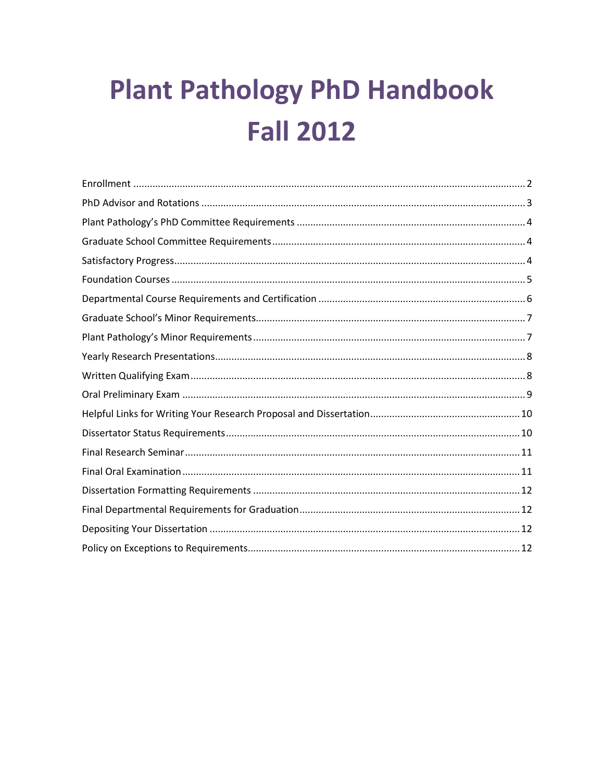# **Plant Pathology PhD Handbook Fall 2012**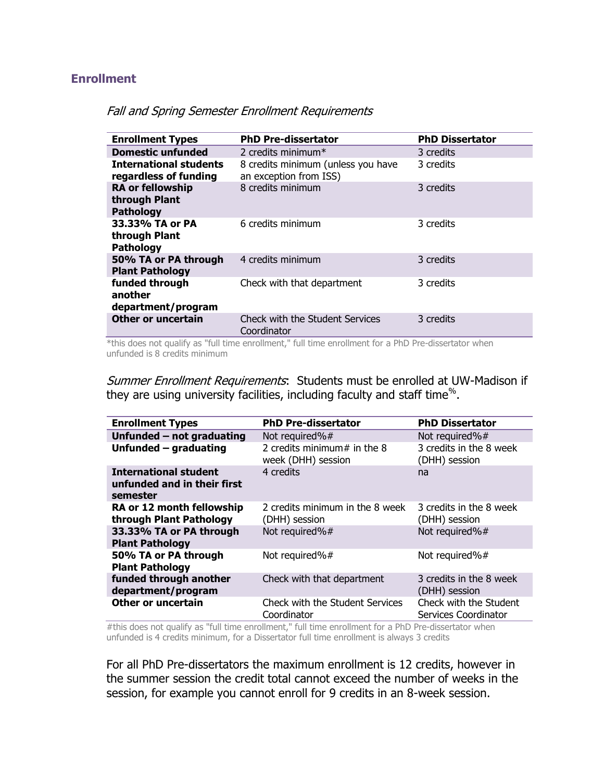#### <span id="page-1-0"></span>**Enrollment**

| <b>Enrollment Types</b>                                      | <b>PhD Pre-dissertator</b>                                   | <b>PhD Dissertator</b> |
|--------------------------------------------------------------|--------------------------------------------------------------|------------------------|
| <b>Domestic unfunded</b>                                     | 2 credits minimum $*$                                        | 3 credits              |
| <b>International students</b><br>regardless of funding       | 8 credits minimum (unless you have<br>an exception from ISS) | 3 credits              |
| <b>RA or fellowship</b><br>through Plant<br><b>Pathology</b> | 8 credits minimum                                            | 3 credits              |
| 33.33% TA or PA<br>through Plant<br><b>Pathology</b>         | 6 credits minimum                                            | 3 credits              |
| 50% TA or PA through<br><b>Plant Pathology</b>               | 4 credits minimum                                            | 3 credits              |
| funded through<br>another<br>department/program              | Check with that department                                   | 3 credits              |
| <b>Other or uncertain</b>                                    | <b>Check with the Student Services</b><br>Coordinator        | 3 credits              |

### Fall and Spring Semester Enrollment Requirements

\*this does not qualify as "full time enrollment," full time enrollment for a PhD Pre-dissertator when unfunded is 8 credits minimum

Summer Enrollment Requirements: Students must be enrolled at UW-Madison if they are using university facilities, including faculty and staff time<sup>%</sup>.

| <b>Enrollment Types</b>                                                 | <b>PhD Pre-dissertator</b>                            | <b>PhD Dissertator</b>                         |
|-------------------------------------------------------------------------|-------------------------------------------------------|------------------------------------------------|
| Unfunded - not graduating                                               | Not required%#                                        | Not required%#                                 |
| Unfunded - graduating                                                   | 2 credits minimum# in the 8<br>week (DHH) session     | 3 credits in the 8 week<br>(DHH) session       |
| <b>International student</b><br>unfunded and in their first<br>semester | 4 credits                                             | na                                             |
| RA or 12 month fellowship<br>through Plant Pathology                    | 2 credits minimum in the 8 week<br>(DHH) session      | 3 credits in the 8 week<br>(DHH) session       |
| 33.33% TA or PA through<br><b>Plant Pathology</b>                       | Not required%#                                        | Not required%#                                 |
| 50% TA or PA through<br><b>Plant Pathology</b>                          | Not required%#                                        | Not required%#                                 |
| funded through another<br>department/program                            | Check with that department                            | 3 credits in the 8 week<br>(DHH) session       |
| Other or uncertain                                                      | <b>Check with the Student Services</b><br>Coordinator | Check with the Student<br>Services Coordinator |

#this does not qualify as "full time enrollment," full time enrollment for a PhD Pre-dissertator when unfunded is 4 credits minimum, for a Dissertator full time enrollment is always 3 credits

For all PhD Pre-dissertators the maximum enrollment is 12 credits, however in the summer session the credit total cannot exceed the number of weeks in the session, for example you cannot enroll for 9 credits in an 8-week session.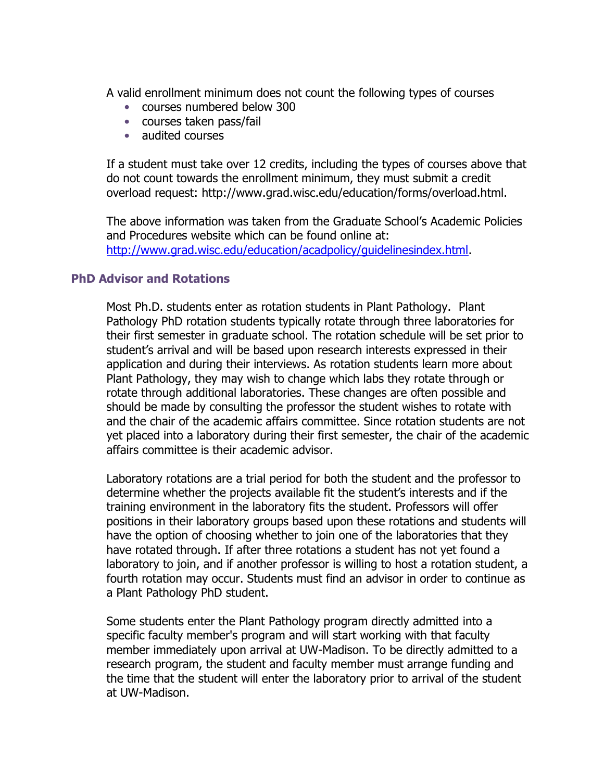A valid enrollment minimum does not count the following types of courses

- courses numbered below 300
- courses taken pass/fail
- audited courses

If a student must take over 12 credits, including the types of courses above that do not count towards the enrollment minimum, they must submit a credit overload request: http://www.grad.wisc.edu/education/forms/overload.html.

The above information was taken from the Graduate School's Academic Policies and Procedures website which can be found online at: [http://www.grad.wisc.edu/education/acadpolicy/guidelinesindex.html.](http://www.grad.wisc.edu/education/acadpolicy/guidelinesindex.html)

## <span id="page-2-0"></span>**PhD Advisor and Rotations**

Most Ph.D. students enter as rotation students in Plant Pathology. Plant Pathology PhD rotation students typically rotate through three laboratories for their first semester in graduate school. The rotation schedule will be set prior to student's arrival and will be based upon research interests expressed in their application and during their interviews. As rotation students learn more about Plant Pathology, they may wish to change which labs they rotate through or rotate through additional laboratories. These changes are often possible and should be made by consulting the professor the student wishes to rotate with and the chair of the academic affairs committee. Since rotation students are not yet placed into a laboratory during their first semester, the chair of the academic affairs committee is their academic advisor.

Laboratory rotations are a trial period for both the student and the professor to determine whether the projects available fit the student's interests and if the training environment in the laboratory fits the student. Professors will offer positions in their laboratory groups based upon these rotations and students will have the option of choosing whether to join one of the laboratories that they have rotated through. If after three rotations a student has not yet found a laboratory to join, and if another professor is willing to host a rotation student, a fourth rotation may occur. Students must find an advisor in order to continue as a Plant Pathology PhD student.

Some students enter the Plant Pathology program directly admitted into a specific faculty member's program and will start working with that faculty member immediately upon arrival at UW-Madison. To be directly admitted to a research program, the student and faculty member must arrange funding and the time that the student will enter the laboratory prior to arrival of the student at UW-Madison.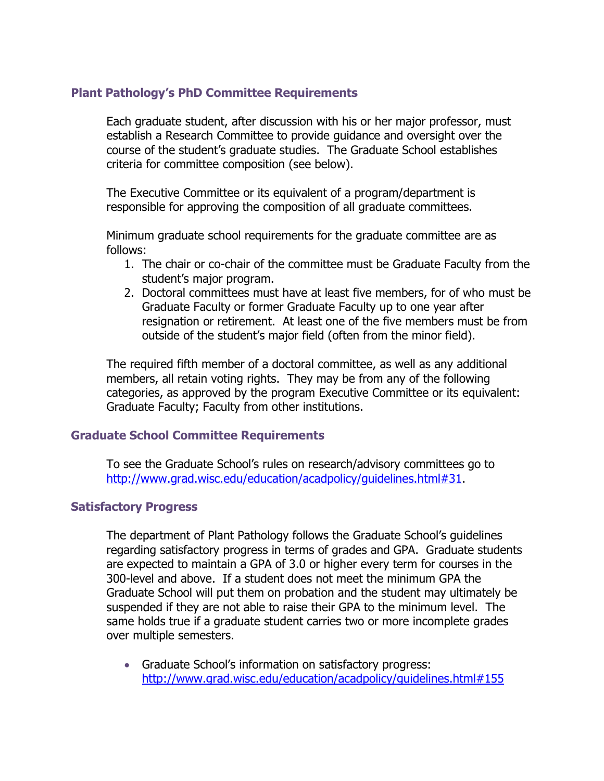# <span id="page-3-0"></span>**Plant Pathology's PhD Committee Requirements**

Each graduate student, after discussion with his or her major professor, must establish a Research Committee to provide guidance and oversight over the course of the student's graduate studies. The Graduate School establishes criteria for committee composition (see below).

The Executive Committee or its equivalent of a program/department is responsible for approving the composition of all graduate committees.

Minimum graduate school requirements for the graduate committee are as follows:

- 1. The chair or co-chair of the committee must be Graduate Faculty from the student's major program.
- 2. Doctoral committees must have at least five members, for of who must be Graduate Faculty or former Graduate Faculty up to one year after resignation or retirement. At least one of the five members must be from outside of the student's major field (often from the minor field).

The required fifth member of a doctoral committee, as well as any additional members, all retain voting rights. They may be from any of the following categories, as approved by the program Executive Committee or its equivalent: Graduate Faculty; Faculty from other institutions.

## <span id="page-3-1"></span>**Graduate School Committee Requirements**

To see the Graduate School's rules on research/advisory committees go to [http://www.grad.wisc.edu/education/acadpolicy/guidelines.html#31.](http://www.grad.wisc.edu/education/acadpolicy/guidelines.html#31)

### <span id="page-3-2"></span>**Satisfactory Progress**

The department of Plant Pathology follows the Graduate School's guidelines regarding satisfactory progress in terms of grades and GPA. Graduate students are expected to maintain a GPA of 3.0 or higher every term for courses in the 300-level and above. If a student does not meet the minimum GPA the Graduate School will put them on probation and the student may ultimately be suspended if they are not able to raise their GPA to the minimum level. The same holds true if a graduate student carries two or more incomplete grades over multiple semesters.

 Graduate School's information on satisfactory progress: <http://www.grad.wisc.edu/education/acadpolicy/guidelines.html#155>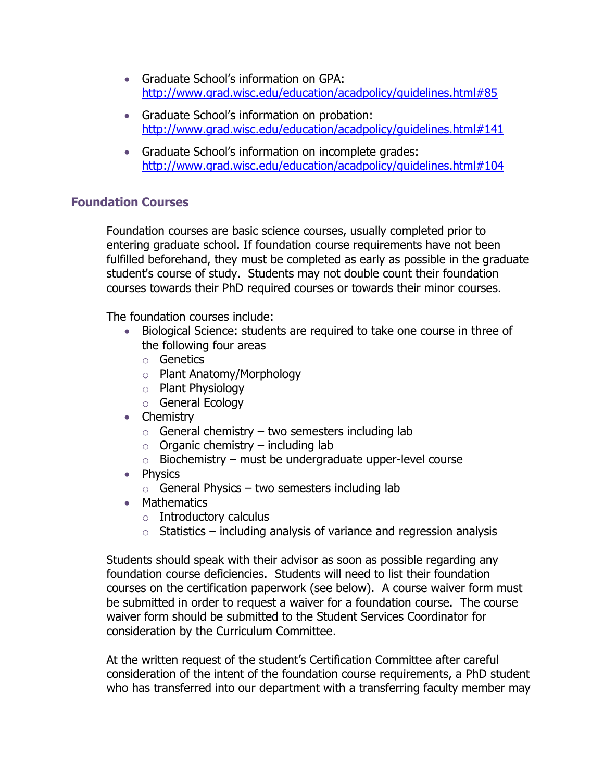- Graduate School's information on GPA: <http://www.grad.wisc.edu/education/acadpolicy/guidelines.html#85>
- Graduate School's information on probation: <http://www.grad.wisc.edu/education/acadpolicy/guidelines.html#141>
- Graduate School's information on incomplete grades: <http://www.grad.wisc.edu/education/acadpolicy/guidelines.html#104>

# <span id="page-4-0"></span>**Foundation Courses**

Foundation courses are basic science courses, usually completed prior to entering graduate school. If foundation course requirements have not been fulfilled beforehand, they must be completed as early as possible in the graduate student's course of study. Students may not double count their foundation courses towards their PhD required courses or towards their minor courses.

The foundation courses include:

- Biological Science: students are required to take one course in three of the following four areas
	- o Genetics
	- o Plant Anatomy/Morphology
	- o Plant Physiology
	- o General Ecology
- Chemistry
	- $\circ$  General chemistry two semesters including lab
	- $\circ$  Organic chemistry including lab
	- $\circ$  Biochemistry must be undergraduate upper-level course
- Physics
	- $\circ$  General Physics two semesters including lab
- Mathematics
	- $\circ$  Introductory calculus
	- $\circ$  Statistics including analysis of variance and regression analysis

Students should speak with their advisor as soon as possible regarding any foundation course deficiencies. Students will need to list their foundation courses on the certification paperwork (see below). A course waiver form must be submitted in order to request a waiver for a foundation course. The course waiver form should be submitted to the Student Services Coordinator for consideration by the Curriculum Committee.

At the written request of the student's Certification Committee after careful consideration of the intent of the foundation course requirements, a PhD student who has transferred into our department with a transferring faculty member may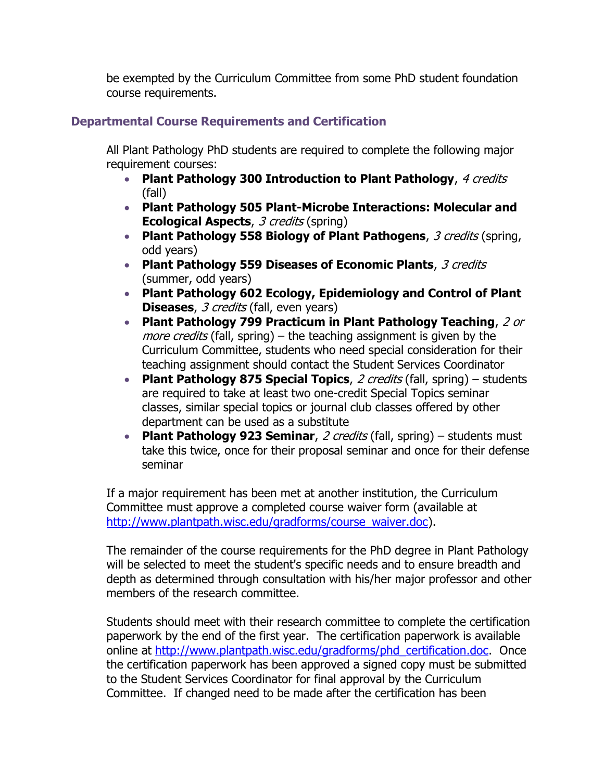be exempted by the Curriculum Committee from some PhD student foundation course requirements.

# <span id="page-5-0"></span>**Departmental Course Requirements and Certification**

All Plant Pathology PhD students are required to complete the following major requirement courses:

- **Plant Pathology 300 Introduction to Plant Pathology**, 4 credits (fall)
- **Plant Pathology 505 Plant-Microbe Interactions: Molecular and Ecological Aspects**, 3 credits (spring)
- **Plant Pathology 558 Biology of Plant Pathogens**, 3 credits (spring, odd years)
- **Plant Pathology 559 Diseases of Economic Plants**, 3 credits (summer, odd years)
- **Plant Pathology 602 Ecology, Epidemiology and Control of Plant Diseases,** 3 credits (fall, even years)
- **Plant Pathology 799 Practicum in Plant Pathology Teaching**, 2 or more credits (fall, spring) – the teaching assignment is given by the Curriculum Committee, students who need special consideration for their teaching assignment should contact the Student Services Coordinator
- **Plant Pathology 875 Special Topics**, 2 credits (fall, spring) students are required to take at least two one-credit Special Topics seminar classes, similar special topics or journal club classes offered by other department can be used as a substitute
- **Plant Pathology 923 Seminar**, 2 credits (fall, spring) students must take this twice, once for their proposal seminar and once for their defense seminar

If a major requirement has been met at another institution, the Curriculum Committee must approve a completed course waiver form (available at [http://www.plantpath.wisc.edu/gradforms/course\\_waiver.doc\)](http://www.plantpath.wisc.edu/gradforms/course_waiver.doc).

The remainder of the course requirements for the PhD degree in Plant Pathology will be selected to meet the student's specific needs and to ensure breadth and depth as determined through consultation with his/her major professor and other members of the research committee.

Students should meet with their research committee to complete the certification paperwork by the end of the first year. The certification paperwork is available online at [http://www.plantpath.wisc.edu/gradforms/phd\\_certification.doc.](http://www.plantpath.wisc.edu/gradforms/phd_certification.doc) Once the certification paperwork has been approved a signed copy must be submitted to the Student Services Coordinator for final approval by the Curriculum Committee. If changed need to be made after the certification has been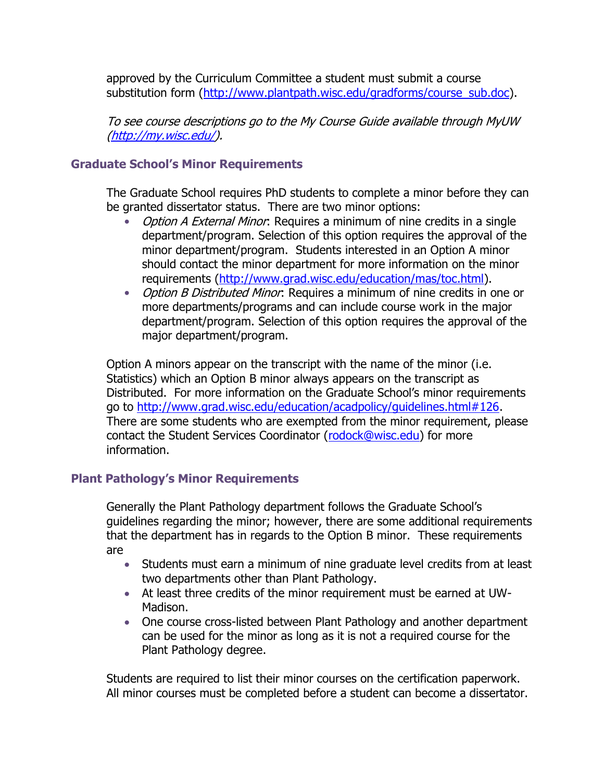approved by the Curriculum Committee a student must submit a course substitution form [\(http://www.plantpath.wisc.edu/gradforms/course\\_sub.doc\)](http://www.plantpath.wisc.edu/gradforms/course_sub.doc).

To see course descriptions go to the My Course Guide available through MyUW [\(http://my.wisc.edu/\)](http://my.wisc.edu/).

## <span id="page-6-0"></span>**Graduate School's Minor Requirements**

The Graduate School requires PhD students to complete a minor before they can be granted dissertator status. There are two minor options:

- Option A External Minor: Requires a minimum of nine credits in a single department/program. Selection of this option requires the approval of the minor department/program. Students interested in an Option A minor should contact the minor department for more information on the minor requirements [\(http://www.grad.wisc.edu/education/mas/toc.html\)](http://www.grad.wisc.edu/education/mas/toc.html).
- Option B Distributed Minor: Requires a minimum of nine credits in one or more departments/programs and can include course work in the major department/program. Selection of this option requires the approval of the major department/program.

Option A minors appear on the transcript with the name of the minor (i.e. Statistics) which an Option B minor always appears on the transcript as Distributed. For more information on the Graduate School's minor requirements go to [http://www.grad.wisc.edu/education/acadpolicy/guidelines.html#126.](http://www.grad.wisc.edu/education/acadpolicy/guidelines.html#126) There are some students who are exempted from the minor requirement, please contact the Student Services Coordinator [\(rodock@wisc.edu\)](mailto:rodock@wisc.edu) for more information.

### <span id="page-6-1"></span>**Plant Pathology's Minor Requirements**

Generally the Plant Pathology department follows the Graduate School's guidelines regarding the minor; however, there are some additional requirements that the department has in regards to the Option B minor. These requirements are

- Students must earn a minimum of nine graduate level credits from at least two departments other than Plant Pathology.
- At least three credits of the minor requirement must be earned at UW-Madison.
- One course cross-listed between Plant Pathology and another department can be used for the minor as long as it is not a required course for the Plant Pathology degree.

Students are required to list their minor courses on the certification paperwork. All minor courses must be completed before a student can become a dissertator.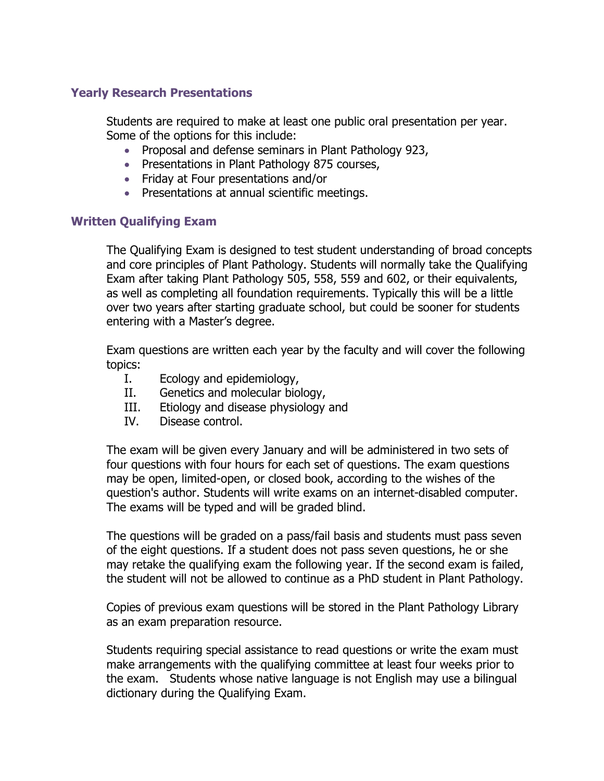# <span id="page-7-0"></span>**Yearly Research Presentations**

Students are required to make at least one public oral presentation per year. Some of the options for this include:

- Proposal and defense seminars in Plant Pathology 923,
- Presentations in Plant Pathology 875 courses,
- Friday at Four presentations and/or
- Presentations at annual scientific meetings.

## <span id="page-7-1"></span>**Written Qualifying Exam**

The Qualifying Exam is designed to test student understanding of broad concepts and core principles of Plant Pathology. Students will normally take the Qualifying Exam after taking Plant Pathology 505, 558, 559 and 602, or their equivalents, as well as completing all foundation requirements. Typically this will be a little over two years after starting graduate school, but could be sooner for students entering with a Master's degree.

Exam questions are written each year by the faculty and will cover the following topics:

- I. Ecology and epidemiology,
- II. Genetics and molecular biology,
- III. Etiology and disease physiology and
- IV. Disease control.

The exam will be given every January and will be administered in two sets of four questions with four hours for each set of questions. The exam questions may be open, limited-open, or closed book, according to the wishes of the question's author. Students will write exams on an internet-disabled computer. The exams will be typed and will be graded blind.

The questions will be graded on a pass/fail basis and students must pass seven of the eight questions. If a student does not pass seven questions, he or she may retake the qualifying exam the following year. If the second exam is failed, the student will not be allowed to continue as a PhD student in Plant Pathology.

Copies of previous exam questions will be stored in the Plant Pathology Library as an exam preparation resource.

Students requiring special assistance to read questions or write the exam must make arrangements with the qualifying committee at least four weeks prior to the exam. Students whose native language is not English may use a bilingual dictionary during the Qualifying Exam.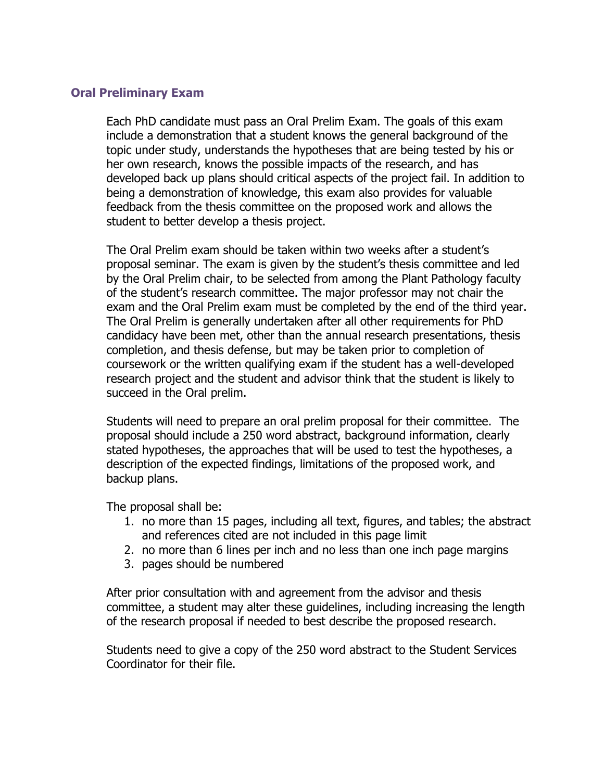## <span id="page-8-0"></span>**Oral Preliminary Exam**

Each PhD candidate must pass an Oral Prelim Exam. The goals of this exam include a demonstration that a student knows the general background of the topic under study, understands the hypotheses that are being tested by his or her own research, knows the possible impacts of the research, and has developed back up plans should critical aspects of the project fail. In addition to being a demonstration of knowledge, this exam also provides for valuable feedback from the thesis committee on the proposed work and allows the student to better develop a thesis project.

The Oral Prelim exam should be taken within two weeks after a student's proposal seminar. The exam is given by the student's thesis committee and led by the Oral Prelim chair, to be selected from among the Plant Pathology faculty of the student's research committee. The major professor may not chair the exam and the Oral Prelim exam must be completed by the end of the third year. The Oral Prelim is generally undertaken after all other requirements for PhD candidacy have been met, other than the annual research presentations, thesis completion, and thesis defense, but may be taken prior to completion of coursework or the written qualifying exam if the student has a well-developed research project and the student and advisor think that the student is likely to succeed in the Oral prelim.

Students will need to prepare an oral prelim proposal for their committee. The proposal should include a 250 word abstract, background information, clearly stated hypotheses, the approaches that will be used to test the hypotheses, a description of the expected findings, limitations of the proposed work, and backup plans.

The proposal shall be:

- 1. no more than 15 pages, including all text, figures, and tables; the abstract and references cited are not included in this page limit
- 2. no more than 6 lines per inch and no less than one inch page margins
- 3. pages should be numbered

After prior consultation with and agreement from the advisor and thesis committee, a student may alter these guidelines, including increasing the length of the research proposal if needed to best describe the proposed research.

Students need to give a copy of the 250 word abstract to the Student Services Coordinator for their file.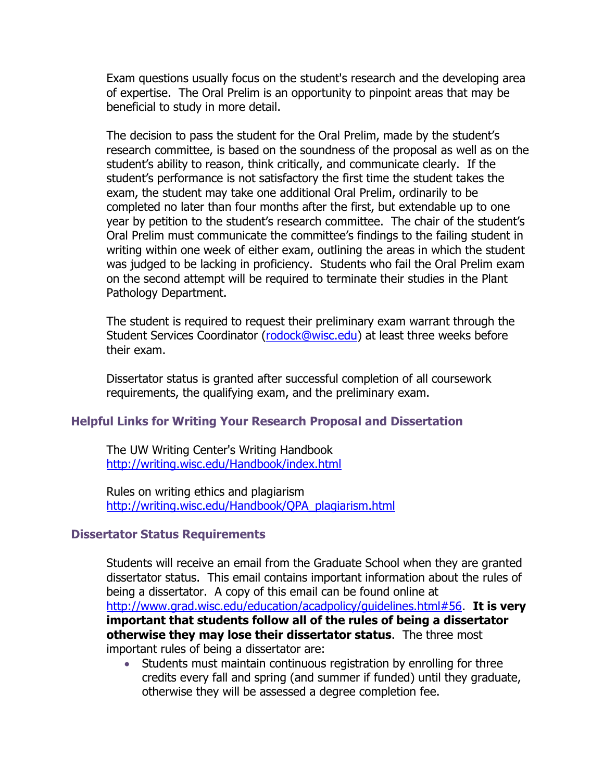Exam questions usually focus on the student's research and the developing area of expertise. The Oral Prelim is an opportunity to pinpoint areas that may be beneficial to study in more detail.

The decision to pass the student for the Oral Prelim, made by the student's research committee, is based on the soundness of the proposal as well as on the student's ability to reason, think critically, and communicate clearly. If the student's performance is not satisfactory the first time the student takes the exam, the student may take one additional Oral Prelim, ordinarily to be completed no later than four months after the first, but extendable up to one year by petition to the student's research committee. The chair of the student's Oral Prelim must communicate the committee's findings to the failing student in writing within one week of either exam, outlining the areas in which the student was judged to be lacking in proficiency. Students who fail the Oral Prelim exam on the second attempt will be required to terminate their studies in the Plant Pathology Department.

The student is required to request their preliminary exam warrant through the Student Services Coordinator [\(rodock@wisc.edu\)](mailto:rodock@wisc.edu) at least three weeks before their exam.

Dissertator status is granted after successful completion of all coursework requirements, the qualifying exam, and the preliminary exam.

### <span id="page-9-0"></span>**Helpful Links for Writing Your Research Proposal and Dissertation**

The UW Writing Center's Writing Handbook <http://writing.wisc.edu/Handbook/index.html>

Rules on writing ethics and plagiarism [http://writing.wisc.edu/Handbook/QPA\\_plagiarism.html](http://writing.wisc.edu/Handbook/QPA_plagiarism.html)

## <span id="page-9-1"></span>**Dissertator Status Requirements**

Students will receive an email from the Graduate School when they are granted dissertator status. This email contains important information about the rules of being a dissertator. A copy of this email can be found online at [http://www.grad.wisc.edu/education/acadpolicy/guidelines.html#56.](http://www.grad.wisc.edu/education/acadpolicy/guidelines.html#56) **It is very important that students follow all of the rules of being a dissertator otherwise they may lose their dissertator status**. The three most important rules of being a dissertator are:

 Students must maintain continuous registration by enrolling for three credits every fall and spring (and summer if funded) until they graduate, otherwise they will be assessed a degree completion fee.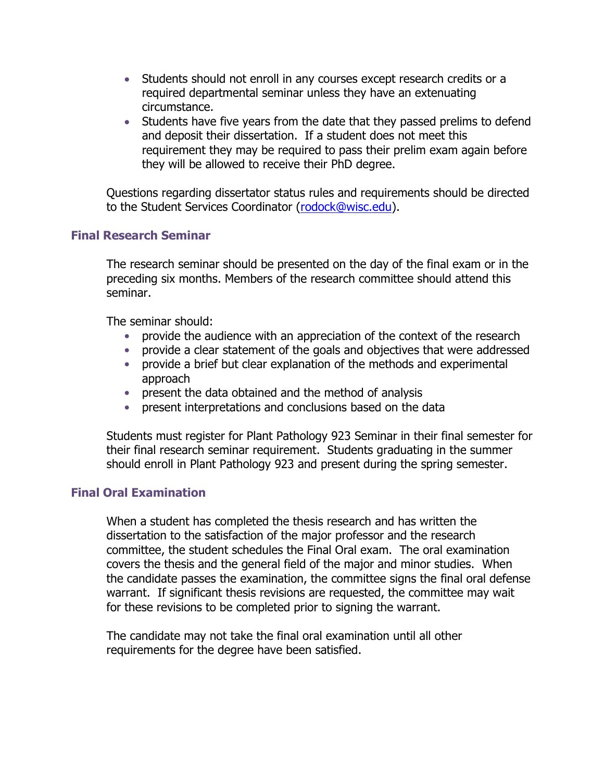- Students should not enroll in any courses except research credits or a required departmental seminar unless they have an extenuating circumstance.
- Students have five years from the date that they passed prelims to defend and deposit their dissertation. If a student does not meet this requirement they may be required to pass their prelim exam again before they will be allowed to receive their PhD degree.

Questions regarding dissertator status rules and requirements should be directed to the Student Services Coordinator [\(rodock@wisc.edu\)](mailto:rodock@wisc.edu).

## <span id="page-10-0"></span>**Final Research Seminar**

The research seminar should be presented on the day of the final exam or in the preceding six months. Members of the research committee should attend this seminar.

The seminar should:

- provide the audience with an appreciation of the context of the research
- provide a clear statement of the goals and objectives that were addressed
- provide a brief but clear explanation of the methods and experimental approach
- present the data obtained and the method of analysis
- present interpretations and conclusions based on the data

Students must register for Plant Pathology 923 Seminar in their final semester for their final research seminar requirement. Students graduating in the summer should enroll in Plant Pathology 923 and present during the spring semester.

## <span id="page-10-1"></span>**Final Oral Examination**

When a student has completed the thesis research and has written the dissertation to the satisfaction of the major professor and the research committee, the student schedules the Final Oral exam. The oral examination covers the thesis and the general field of the major and minor studies. When the candidate passes the examination, the committee signs the final oral defense warrant. If significant thesis revisions are requested, the committee may wait for these revisions to be completed prior to signing the warrant.

The candidate may not take the final oral examination until all other requirements for the degree have been satisfied.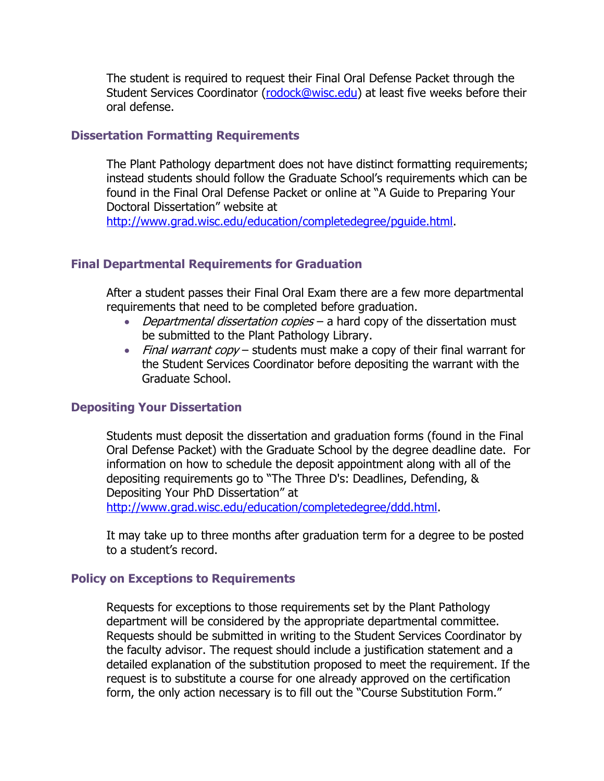The student is required to request their Final Oral Defense Packet through the Student Services Coordinator [\(rodock@wisc.edu\)](mailto:rodock@wisc.edu) at least five weeks before their oral defense.

#### <span id="page-11-0"></span>**Dissertation Formatting Requirements**

The Plant Pathology department does not have distinct formatting requirements; instead students should follow the Graduate School's requirements which can be found in the Final Oral Defense Packet or online at "A Guide to Preparing Your Doctoral Dissertation" website at

[http://www.grad.wisc.edu/education/completedegree/pguide.html.](http://www.grad.wisc.edu/education/completedegree/pguide.html)

### <span id="page-11-1"></span>**Final Departmental Requirements for Graduation**

After a student passes their Final Oral Exam there are a few more departmental requirements that need to be completed before graduation.

- Departmental dissertation copies a hard copy of the dissertation must be submitted to the Plant Pathology Library.
- Final warrant copy students must make a copy of their final warrant for the Student Services Coordinator before depositing the warrant with the Graduate School.

### <span id="page-11-2"></span>**Depositing Your Dissertation**

Students must deposit the dissertation and graduation forms (found in the Final Oral Defense Packet) with the Graduate School by the degree deadline date. For information on how to schedule the deposit appointment along with all of the depositing requirements go to "The Three D's: Deadlines, Defending, & Depositing Your PhD Dissertation" at [http://www.grad.wisc.edu/education/completedegree/ddd.html.](http://www.grad.wisc.edu/education/completedegree/ddd.html)

It may take up to three months after graduation term for a degree to be posted to a student's record.

#### <span id="page-11-3"></span>**Policy on Exceptions to Requirements**

Requests for exceptions to those requirements set by the Plant Pathology department will be considered by the appropriate departmental committee. Requests should be submitted in writing to the Student Services Coordinator by the faculty advisor. The request should include a justification statement and a detailed explanation of the substitution proposed to meet the requirement. If the request is to substitute a course for one already approved on the certification form, the only action necessary is to fill out the "Course Substitution Form."